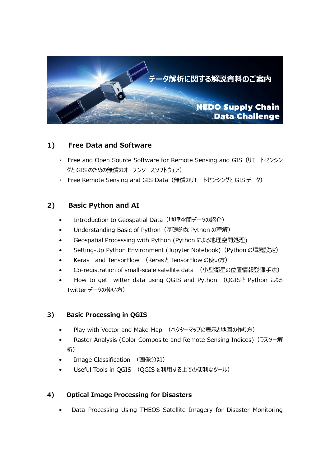

## 1) Free Data and Software

- ・ Free and Open Source Software for Remote Sensing and GIS(リモートセンシン グと GIS のための無償のオープンソースソフトウェア)
- ・ Free Remote Sensing and GIS Data(無償のリモートセンシングと GIS データ)

# 2) Basic Python and AI

- Introduction to Geospatial Data (地理空間データの紹介)
- Understanding Basic of Python (基礎的な Python の理解)
- Geospatial Processing with Python (Python による地理空間処理)
- Setting-Up Python Environment (Jupyter Notebook)(Python の環境設定)
- Keras and TensorFlow (Keras と TensorFlow の使い方)
- Co-registration of small-scale satellite data (小型衛星の位置情報登録手法)
- How to get Twitter data using QGIS and Python (QGIS と Python による Twitter データの使い方)

## 3) Basic Processing in QGIS

- Play with Vector and Make Map (ベクターマップの表示と地図の作り方)
- Raster Analysis (Color Composite and Remote Sensing Indices) (ラスター解 析)
- Image Classification (画像分類)
- Useful Tools in QGIS (QGIS を利用する上での便利なツール)

#### 4) Optical Image Processing for Disasters

• Data Processing Using THEOS Satellite Imagery for Disaster Monitoring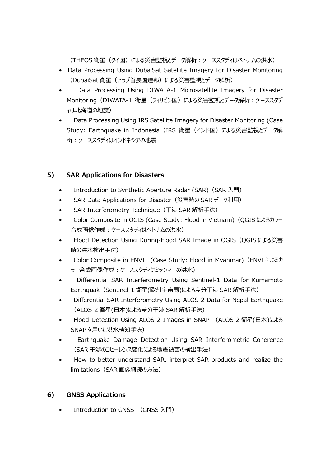(THEOS 衛星(タイ国)による災害監視とデータ解析:ケーススタディはベトナムの洪水)

- Data Processing Using DubaiSat Satellite Imagery for Disaster Monitoring (DubaiSat 衛星(アラブ首⾧国連邦)による災害監視とデータ解析)
- Data Processing Using DIWATA-1 Microsatellite Imagery for Disaster Monitoring (DIWATA-1 衛星 (フィリピン国) による災害監視とデータ解析:ケーススタデ ィは北海道の地震)
- Data Processing Using IRS Satellite Imagery for Disaster Monitoring (Case Study: Earthquake in Indonesia (IRS 衛星 (インド国) による災害監視とデータ解 析:ケーススタディはインドネシアの地震

## 5) SAR Applications for Disasters

- Introduction to Synthetic Aperture Radar (SAR) (SAR 入門)
- SAR Data Applications for Disaster(災害時の SAR データ利用)
- SAR Interferometry Technique (干渉 SAR 解析手法)
- Color Composite in QGIS (Case Study: Flood in Vietnam)(QGIS によるカラー 合成画像作成:ケーススタディはベトナムの洪水)
- Flood Detection Using During-Flood SAR Image in OGIS (OGIS による災害 時の洪水検出手法)
- Color Composite in ENVI (Case Study: Flood in Myanmar)(ENVI によるカ ラー合成画像作成:ケーススタディはミャンマーの洪水)
- Differential SAR Interferometry Using Sentinel-1 Data for Kumamoto Earthquak(Sentinel-1 衛星(欧州宇宙局)による差分干渉 SAR 解析手法)
- Differential SAR Interferometry Using ALOS-2 Data for Nepal Earthquake (ALOS-2 衛星(日本)による差分干渉 SAR 解析手法)
- Flood Detection Using ALOS-2 Images in SNAP (ALOS-2 衛星(日本)による SNAP を用いた洪水検知手法)
- Earthquake Damage Detection Using SAR Interferometric Coherence (SAR 干渉のコヒーレンス変化による地震被害の検出手法)
- How to better understand SAR, interpret SAR products and realize the limitations(SAR 画像判読の方法)

#### 6) GNSS Applications

Introduction to GNSS (GNSS 入門)